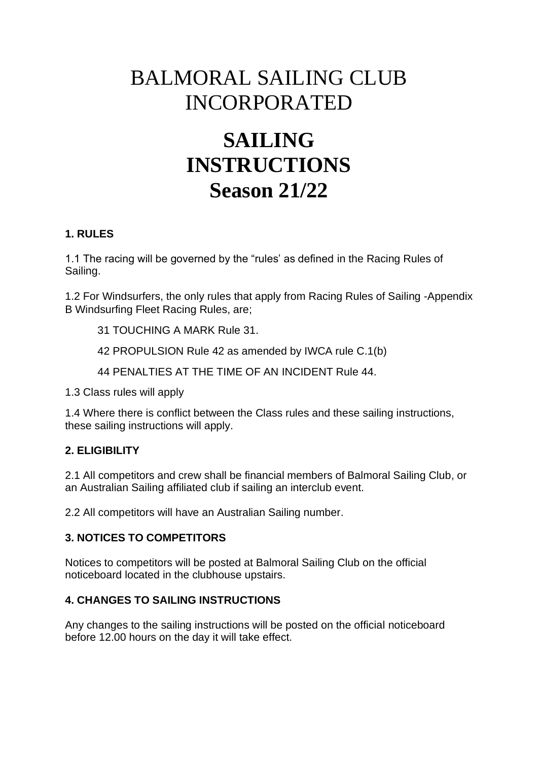## BALMORAL SAILING CLUB INCORPORATED

# **SAILING INSTRUCTIONS Season 21/22**

### **1. RULES**

1.1 The racing will be governed by the "rules' as defined in the Racing Rules of Sailing.

1.2 For Windsurfers, the only rules that apply from Racing Rules of Sailing -Appendix B Windsurfing Fleet Racing Rules, are;

31 TOUCHING A MARK Rule 31.

42 PROPULSION Rule 42 as amended by IWCA rule C.1(b)

44 PENALTIES AT THE TIME OF AN INCIDENT Rule 44.

1.3 Class rules will apply

1.4 Where there is conflict between the Class rules and these sailing instructions, these sailing instructions will apply.

## **2. ELIGIBILITY**

2.1 All competitors and crew shall be financial members of Balmoral Sailing Club, or an Australian Sailing affiliated club if sailing an interclub event.

2.2 All competitors will have an Australian Sailing number.

#### **3. NOTICES TO COMPETITORS**

Notices to competitors will be posted at Balmoral Sailing Club on the official noticeboard located in the clubhouse upstairs.

## **4. CHANGES TO SAILING INSTRUCTIONS**

Any changes to the sailing instructions will be posted on the official noticeboard before 12.00 hours on the day it will take effect.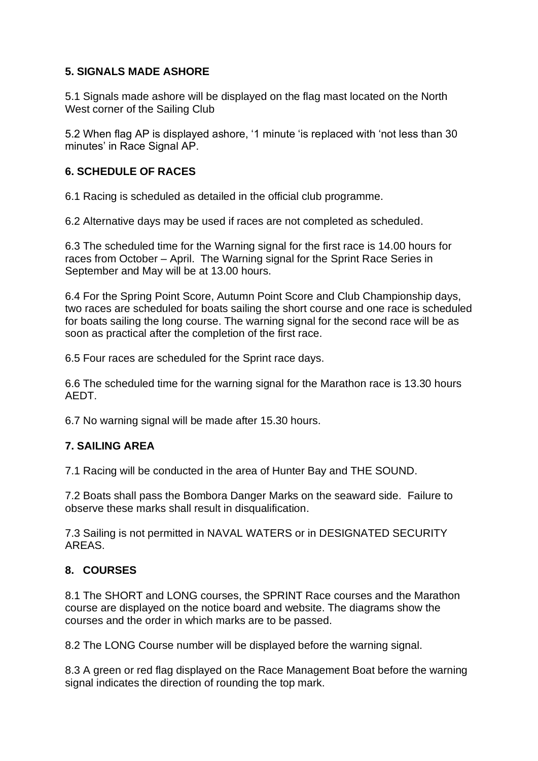## **5. SIGNALS MADE ASHORE**

5.1 Signals made ashore will be displayed on the flag mast located on the North West corner of the Sailing Club

5.2 When flag AP is displayed ashore, '1 minute 'is replaced with 'not less than 30 minutes' in Race Signal AP.

## **6. SCHEDULE OF RACES**

6.1 Racing is scheduled as detailed in the official club programme.

6.2 Alternative days may be used if races are not completed as scheduled.

6.3 The scheduled time for the Warning signal for the first race is 14.00 hours for races from October – April. The Warning signal for the Sprint Race Series in September and May will be at 13.00 hours.

6.4 For the Spring Point Score, Autumn Point Score and Club Championship days, two races are scheduled for boats sailing the short course and one race is scheduled for boats sailing the long course. The warning signal for the second race will be as soon as practical after the completion of the first race.

6.5 Four races are scheduled for the Sprint race days.

6.6 The scheduled time for the warning signal for the Marathon race is 13.30 hours AEDT.

6.7 No warning signal will be made after 15.30 hours.

## **7. SAILING AREA**

7.1 Racing will be conducted in the area of Hunter Bay and THE SOUND.

7.2 Boats shall pass the Bombora Danger Marks on the seaward side. Failure to observe these marks shall result in disqualification.

7.3 Sailing is not permitted in NAVAL WATERS or in DESIGNATED SECURITY AREAS.

## **8. COURSES**

8.1 The SHORT and LONG courses, the SPRINT Race courses and the Marathon course are displayed on the notice board and website. The diagrams show the courses and the order in which marks are to be passed.

8.2 The LONG Course number will be displayed before the warning signal.

8.3 A green or red flag displayed on the Race Management Boat before the warning signal indicates the direction of rounding the top mark.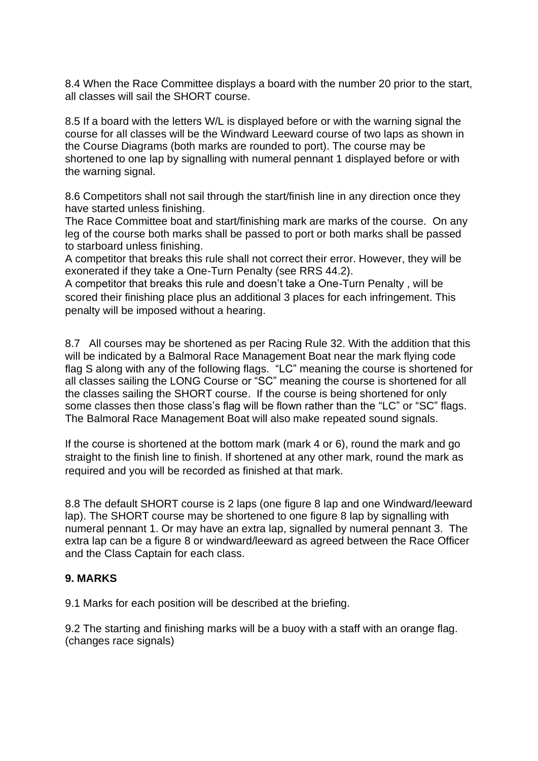8.4 When the Race Committee displays a board with the number 20 prior to the start, all classes will sail the SHORT course.

8.5 If a board with the letters W/L is displayed before or with the warning signal the course for all classes will be the Windward Leeward course of two laps as shown in the Course Diagrams (both marks are rounded to port). The course may be shortened to one lap by signalling with numeral pennant 1 displayed before or with the warning signal.

8.6 Competitors shall not sail through the start/finish line in any direction once they have started unless finishing.

The Race Committee boat and start/finishing mark are marks of the course. On any leg of the course both marks shall be passed to port or both marks shall be passed to starboard unless finishing.

A competitor that breaks this rule shall not correct their error. However, they will be exonerated if they take a One-Turn Penalty (see RRS 44.2).

A competitor that breaks this rule and doesn't take a One-Turn Penalty , will be scored their finishing place plus an additional 3 places for each infringement. This penalty will be imposed without a hearing.

8.7 All courses may be shortened as per Racing Rule 32. With the addition that this will be indicated by a Balmoral Race Management Boat near the mark flying code flag S along with any of the following flags. "LC" meaning the course is shortened for all classes sailing the LONG Course or "SC" meaning the course is shortened for all the classes sailing the SHORT course. If the course is being shortened for only some classes then those class's flag will be flown rather than the "LC" or "SC" flags. The Balmoral Race Management Boat will also make repeated sound signals.

If the course is shortened at the bottom mark (mark 4 or 6), round the mark and go straight to the finish line to finish. If shortened at any other mark, round the mark as required and you will be recorded as finished at that mark.

8.8 The default SHORT course is 2 laps (one figure 8 lap and one Windward/leeward lap). The SHORT course may be shortened to one figure 8 lap by signalling with numeral pennant 1. Or may have an extra lap, signalled by numeral pennant 3. The extra lap can be a figure 8 or windward/leeward as agreed between the Race Officer and the Class Captain for each class.

## **9. MARKS**

9.1 Marks for each position will be described at the briefing.

9.2 The starting and finishing marks will be a buoy with a staff with an orange flag. (changes race signals)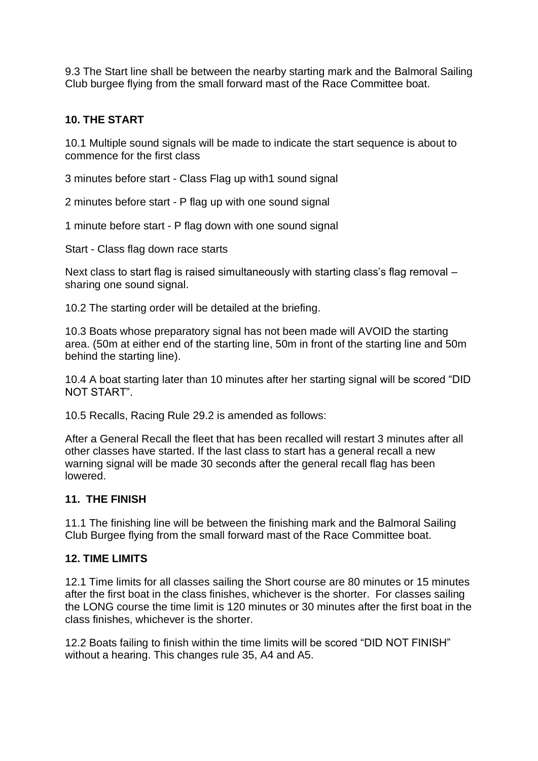9.3 The Start line shall be between the nearby starting mark and the Balmoral Sailing Club burgee flying from the small forward mast of the Race Committee boat.

### **10. THE START**

10.1 Multiple sound signals will be made to indicate the start sequence is about to commence for the first class

3 minutes before start - Class Flag up with1 sound signal

2 minutes before start - P flag up with one sound signal

1 minute before start - P flag down with one sound signal

Start - Class flag down race starts

Next class to start flag is raised simultaneously with starting class's flag removal – sharing one sound signal.

10.2 The starting order will be detailed at the briefing.

10.3 Boats whose preparatory signal has not been made will AVOID the starting area. (50m at either end of the starting line, 50m in front of the starting line and 50m behind the starting line).

10.4 A boat starting later than 10 minutes after her starting signal will be scored "DID NOT START".

10.5 Recalls, Racing Rule 29.2 is amended as follows:

After a General Recall the fleet that has been recalled will restart 3 minutes after all other classes have started. If the last class to start has a general recall a new warning signal will be made 30 seconds after the general recall flag has been lowered.

#### **11. THE FINISH**

11.1 The finishing line will be between the finishing mark and the Balmoral Sailing Club Burgee flying from the small forward mast of the Race Committee boat.

#### **12. TIME LIMITS**

12.1 Time limits for all classes sailing the Short course are 80 minutes or 15 minutes after the first boat in the class finishes, whichever is the shorter. For classes sailing the LONG course the time limit is 120 minutes or 30 minutes after the first boat in the class finishes, whichever is the shorter.

12.2 Boats failing to finish within the time limits will be scored "DID NOT FINISH" without a hearing. This changes rule 35, A4 and A5.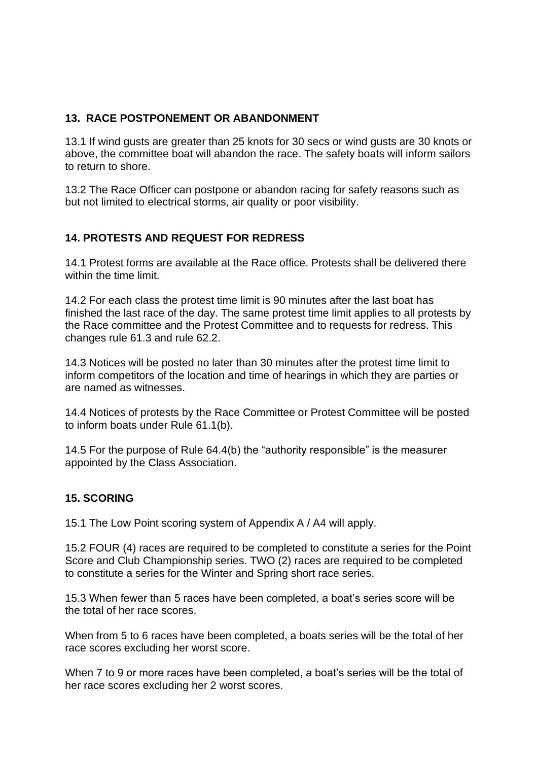## **13. RACE POSTPONEMENT OR ABANDONMENT**

13.1 If wind gusts are greater than 25 knots for 30 secs or wind gusts are 30 knots or above, the committee boat will abandon the race. The safety boats will inform sailors to return to shore.

13.2 The Race Officer can postpone or abandon racing for safety reasons such as but not limited to electrical storms, air quality or poor visibility.

## **14. PROTESTS AND REQUEST FOR REDRESS**

14.1 Protest forms are available at the Race office. Protests shall be delivered there within the time limit.

14.2 For each class the protest time limit is 90 minutes after the last boat has finished the last race of the day. The same protest time limit applies to all protests by the Race committee and the Protest Committee and to requests for redress. This changes rule 61.3 and rule 62.2.

14.3 Notices will be posted no later than 30 minutes after the protest time limit to inform competitors of the location and time of hearings in which they are parties or are named as witnesses.

14.4 Notices of protests by the Race Committee or Protest Committee will be posted to inform boats under Rule 61.1(b).

14.5 For the purpose of Rule 64.4(b) the "authority responsible" is the measurer appointed by the Class Association.

## **15. SCORING**

15.1 The Low Point scoring system of Appendix A / A4 will apply.

15.2 FOUR (4) races are required to be completed to constitute a series for the Point Score and Club Championship series. TWO (2) races are required to be completed to constitute a series for the Winter and Spring short race series.

15.3 When fewer than 5 races have been completed, a boat's series score will be the total of her race scores.

When from 5 to 6 races have been completed, a boats series will be the total of her race scores excluding her worst score.

When 7 to 9 or more races have been completed, a boat's series will be the total of her race scores excluding her 2 worst scores.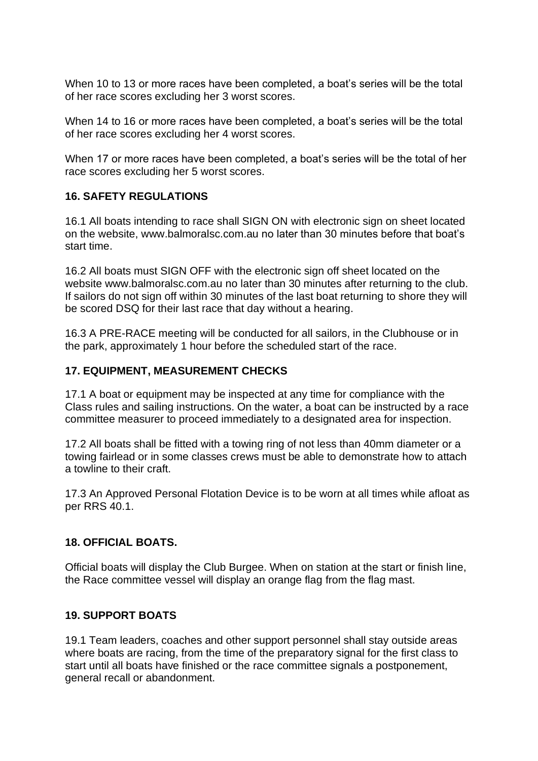When 10 to 13 or more races have been completed, a boat's series will be the total of her race scores excluding her 3 worst scores.

When 14 to 16 or more races have been completed, a boat's series will be the total of her race scores excluding her 4 worst scores.

When 17 or more races have been completed, a boat's series will be the total of her race scores excluding her 5 worst scores.

## **16. SAFETY REGULATIONS**

16.1 All boats intending to race shall SIGN ON with electronic sign on sheet located on the website, [www.balmoralsc.com.au](http://www.balmoralsc.com.au/) no later than 30 minutes before that boat's start time.

16.2 All boats must SIGN OFF with the electronic sign off sheet located on the website [www.balmoralsc.com.au](http://www.balmoralsc.com.au/) no later than 30 minutes after returning to the club. If sailors do not sign off within 30 minutes of the last boat returning to shore they will be scored DSQ for their last race that day without a hearing.

16.3 A PRE-RACE meeting will be conducted for all sailors, in the Clubhouse or in the park, approximately 1 hour before the scheduled start of the race.

#### **17. EQUIPMENT, MEASUREMENT CHECKS**

17.1 A boat or equipment may be inspected at any time for compliance with the Class rules and sailing instructions. On the water, a boat can be instructed by a race committee measurer to proceed immediately to a designated area for inspection.

17.2 All boats shall be fitted with a towing ring of not less than 40mm diameter or a towing fairlead or in some classes crews must be able to demonstrate how to attach a towline to their craft.

17.3 An Approved Personal Flotation Device is to be worn at all times while afloat as per RRS 40.1.

#### **18. OFFICIAL BOATS.**

Official boats will display the Club Burgee. When on station at the start or finish line, the Race committee vessel will display an orange flag from the flag mast.

#### **19. SUPPORT BOATS**

19.1 Team leaders, coaches and other support personnel shall stay outside areas where boats are racing, from the time of the preparatory signal for the first class to start until all boats have finished or the race committee signals a postponement, general recall or abandonment.